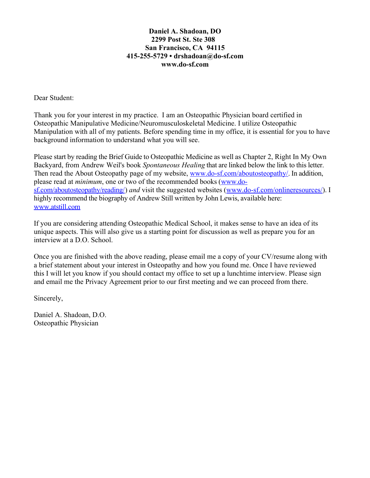## **Daniel A. Shadoan, DO 2299 Post St. Ste 308 San Francisco, CA 94115 415-255-5729 • [drshadoan@do-sf.com](mailto:drshadoan@do-sf.com) www.do-sf.com**

Dear Student:

Thank you for your interest in my practice. I am an Osteopathic Physician board certified in Osteopathic Manipulative Medicine/Neuromusculoskeletal Medicine. I utilize Osteopathic Manipulation with all of my patients. Before spending time in my office, it is essential for you to have background information to understand what you will see.

Please start by reading the Brief Guide to Osteopathic Medicine as well as Chapter 2, Right In My Own Backyard, from Andrew Weil's book *Spontaneous Healing* that are linked below the link to this letter. Then read the About Osteopathy page of my website, [www.do-sf.com/aboutosteopathy/.](http://www.do-sf.com/aboutosteopathy/) In addition, please read at *minimum*, one or two of the recommended books [\(www.do](http://www.do-sf.com/aboutosteopathy/reading/)[sf.com/aboutosteopathy/reading/\)](http://www.do-sf.com/aboutosteopathy/reading/) *and* visit the suggested websites [\(www.do-sf.com/onlineresources/\)](http://www.do-sf.com/onlineresources/). I highly recommend the biography of Andrew Still written by John Lewis, available here: [www.atstill.com](http://www.atstill.com/) 

If you are considering attending Osteopathic Medical School, it makes sense to have an idea of its unique aspects. This will also give us a starting point for discussion as well as prepare you for an interview at a D.O. School.

Once you are finished with the above reading, please email me a copy of your CV/resume along with a brief statement about your interest in Osteopathy and how you found me. Once I have reviewed this I will let you know if you should contact my office to set up a lunchtime interview. Please sign and email me the Privacy Agreement prior to our first meeting and we can proceed from there.

Sincerely,

Daniel A. Shadoan, D.O. Osteopathic Physician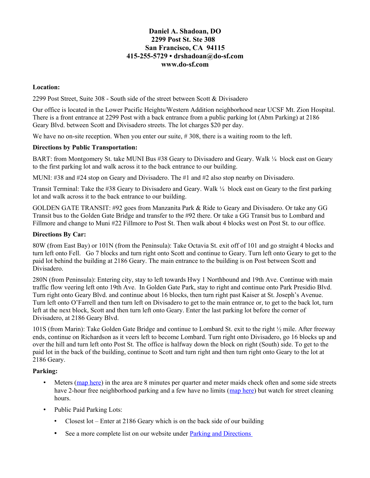## **Daniel A. Shadoan, DO 2299 Post St. Ste 308 San Francisco, CA 94115 415-255-5729 • [drshadoan@do-sf.com](mailto:drshadoan@do-sf.com) www.do-sf.com**

#### **Location:**

2299 Post Street, Suite 308 - South side of the street between Scott & Divisadero

Our office is located in the Lower Pacific Heights/Western Addition neighborhood near UCSF Mt. Zion Hospital. There is a front entrance at 2299 Post with a back entrance from a public parking lot (Abm Parking) at 2186 Geary Blvd. between Scott and Divisadero streets. The lot charges \$20 per day.

We have no on-site reception. When you enter our suite, #308, there is a waiting room to the left.

#### **Directions by Public Transportation:**

BART: from Montgomery St. take MUNI Bus #38 Geary to Divisadero and Geary. Walk  $\frac{1}{4}$  block east on Geary to the first parking lot and walk across it to the back entrance to our building.

MUNI: #38 and #24 stop on Geary and Divisadero. The #1 and #2 also stop nearby on Divisadero.

Transit Terminal: Take the #38 Geary to Divisadero and Geary. Walk ¼ block east on Geary to the first parking lot and walk across it to the back entrance to our building.

GOLDEN GATE TRANSIT: #92 goes from Manzanita Park & Ride to Geary and Divisadero. Or take any GG Transit bus to the Golden Gate Bridge and transfer to the #92 there. Or take a GG Transit bus to Lombard and Fillmore and change to Muni #22 Fillmore to Post St. Then walk about 4 blocks west on Post St. to our office.

#### **Directions By Car:**

80W (from East Bay) or 101N (from the Peninsula): Take Octavia St. exit off of 101 and go straight 4 blocks and turn left onto Fell. Go 7 blocks and turn right onto Scott and continue to Geary. Turn left onto Geary to get to the paid lot behind the building at 2186 Geary. The main entrance to the building is on Post between Scott and Divisadero.

280N (from Peninsula): Entering city, stay to left towards Hwy 1 Northbound and 19th Ave. Continue with main traffic flow veering left onto 19th Ave. In Golden Gate Park, stay to right and continue onto Park Presidio Blvd. Turn right onto Geary Blvd. and continue about 16 blocks, then turn right past Kaiser at St. Joseph's Avenue. Turn left onto O'Farrell and then turn left on Divisadero to get to the main entrance or, to get to the back lot, turn left at the next block, Scott and then turn left onto Geary. Enter the last parking lot before the corner of Divisadero, at 2186 Geary Blvd.

101S (from Marin): Take Golden Gate Bridge and continue to Lombard St. exit to the right ½ mile. After freeway ends, continue on Richardson as it veers left to become Lombard. Turn right onto Divisadero, go 16 blocks up and over the hill and turn left onto Post St. The office is halfway down the block on right (South) side. To get to the paid lot in the back of the building, continue to Scott and turn right and then turn right onto Geary to the lot at 2186 Geary.

### **Parking:**

- Meters [\(map here\)](https://www.sfmta.com/demand-responsive-parking) in the area are 8 minutes per quarter and meter maids check often and some side streets have 2-hour free neighborhood parking and a few have no limits [\(map here\)](https://www.sfmta.com/sites/default/files/pdf_map/2018/05/rpp_citywide_may_2018.pdf) but watch for street cleaning hours.
- Public Paid Parking Lots:
	- Closest lot Enter at 2186 Geary which is on the back side of our building
	- See a more complete list on our website under Parking and Directions